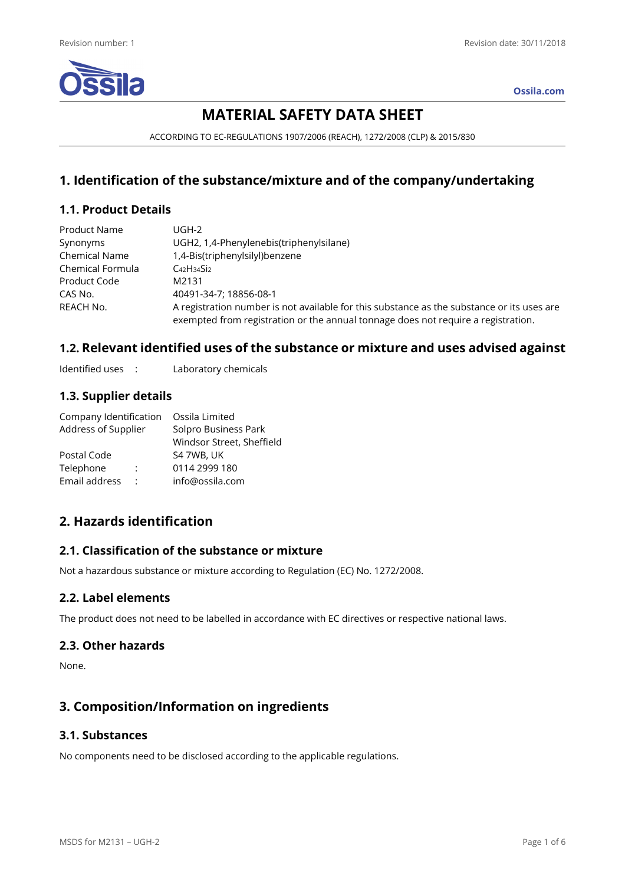

**Ossila.com**

# **MATERIAL SAFETY DATA SHEET**

ACCORDING TO EC-REGULATIONS 1907/2006 (REACH), 1272/2008 (CLP) & 2015/830

## **1. Identification of the substance/mixture and of the company/undertaking**

## **1.1. Product Details**

| Product Name         | UGH-2                                                                                                                                                                           |
|----------------------|---------------------------------------------------------------------------------------------------------------------------------------------------------------------------------|
| Synonyms             | UGH2, 1,4-Phenylenebis(triphenylsilane)                                                                                                                                         |
| <b>Chemical Name</b> | 1,4-Bis(triphenylsilyl)benzene                                                                                                                                                  |
| Chemical Formula     | $C_{42}H_{34}Si_2$                                                                                                                                                              |
| Product Code         | M2131                                                                                                                                                                           |
| CAS No.              | 40491-34-7: 18856-08-1                                                                                                                                                          |
| REACH No.            | A registration number is not available for this substance as the substance or its uses are<br>exempted from registration or the annual tonnage does not require a registration. |

## **1.2. Relevant identified uses of the substance or mixture and uses advised against**

Identified uses : Laboratory chemicals

## **1.3. Supplier details**

| Company Identification | Ossila Limited            |
|------------------------|---------------------------|
| Address of Supplier    | Solpro Business Park      |
|                        | Windsor Street, Sheffield |
|                        | S4 7WB, UK                |
| ÷                      | 0114 2999 180             |
| ÷                      | info@ossila.com           |
|                        |                           |

## **2. Hazards identification**

## **2.1. Classification of the substance or mixture**

Not a hazardous substance or mixture according to Regulation (EC) No. 1272/2008.

## **2.2. Label elements**

The product does not need to be labelled in accordance with EC directives or respective national laws.

#### **2.3. Other hazards**

None.

## **3. Composition/Information on ingredients**

## **3.1. Substances**

No components need to be disclosed according to the applicable regulations.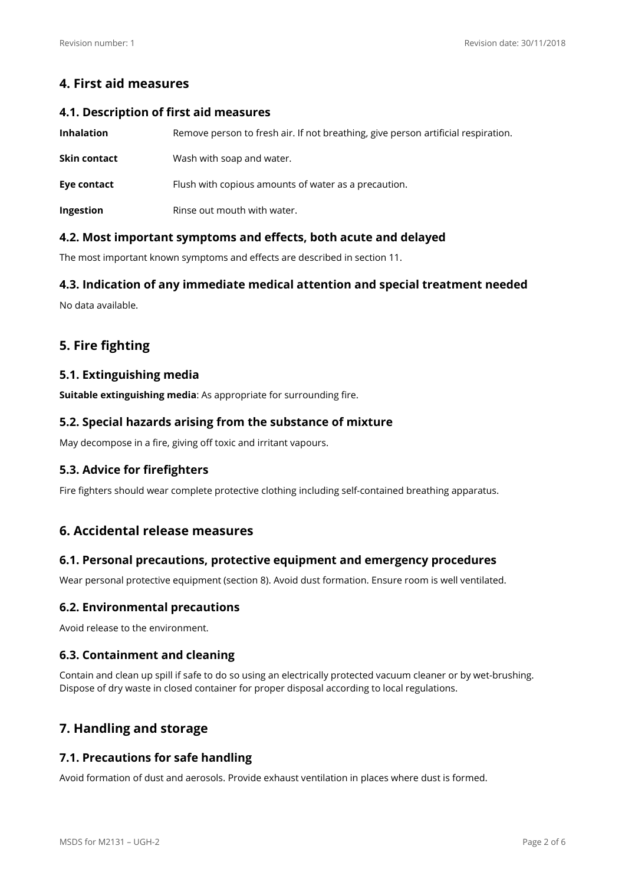## **4. First aid measures**

#### **4.1. Description of first aid measures**

| <b>Inhalation</b> | Remove person to fresh air. If not breathing, give person artificial respiration. |  |
|-------------------|-----------------------------------------------------------------------------------|--|
| Skin contact      | Wash with soap and water.                                                         |  |
| Eye contact       | Flush with copious amounts of water as a precaution.                              |  |
| Ingestion         | Rinse out mouth with water.                                                       |  |

## **4.2. Most important symptoms and effects, both acute and delayed**

The most important known symptoms and effects are described in section 11.

## **4.3. Indication of any immediate medical attention and special treatment needed**

No data availableG

## **5. Fire fighting**

## **5.1. Extinguishing media**

**Suitable extinguishing media:** As appropriate for surrounding fire.

### **5.2. Special hazards arising from the substance of mixture**

May decompose in a fire, giving off toxic and irritant vapours.

## **5.3. Advice for firefighters**

Fire fighters should wear complete protective clothing including self-contained breathing apparatus.

## **6. Accidental release measures**

## **6.1. Personal precautions, protective equipment and emergency procedures**

Wear personal protective equipment (section 8). Avoid dust formation. Ensure room is well ventilated.

## **6.2. Environmental precautions**

Avoid release to the environment.

## **6.3. Containment and cleaning**

Contain and clean up spill if safe to do so using an electrically protected vacuum cleaner or by wet-brushing. Dispose of dry waste in closed container for proper disposal according to local regulations.

## **7. Handling and storage**

## **7.1. Precautions for safe handling**

Avoid formation of dust and aerosols. Provide exhaust ventilation in places where dust is formed.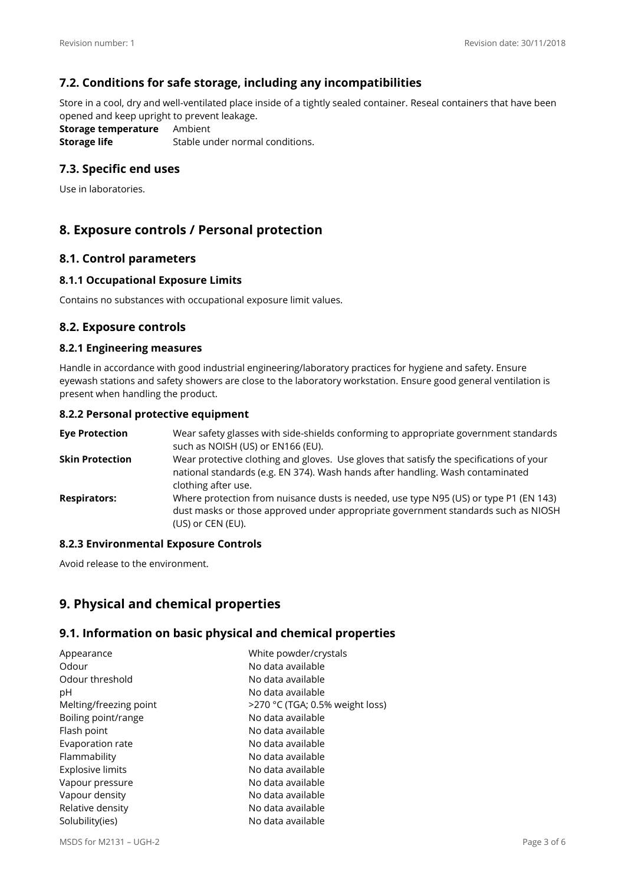## **7.2. Conditions for safe storage, including any incompatibilities**

Store in a cool, dry and well-ventilated place inside of a tightly sealed container. Reseal containers that have been opened and keep upright to prevent leakage.

**Storage temperature** Ambient **Storage life** Stable under normal conditions.

## **7.3. Specific end uses**

Use in laboratories.

## **8. Exposure controls / Personal protection**

#### **8.1. Control parameters**

#### **8.1.1 Occupational Exposure Limits**

Contains no substances with occupational exposure limit values.

#### **8.2. Exposure controls**

#### **8.2.1 Engineering measures**

Handle in accordance with good industrial engineering/laboratory practices for hygiene and safety. Ensure eyewash stations and safety showers are close to the laboratory workstation. Ensure good general ventilation is present when handling the product.

#### **8.2.2 Personal protective equipment**

| <b>Eve Protection</b>  | Wear safety glasses with side-shields conforming to appropriate government standards<br>such as NOISH (US) or EN166 (EU).                                                                        |
|------------------------|--------------------------------------------------------------------------------------------------------------------------------------------------------------------------------------------------|
| <b>Skin Protection</b> | Wear protective clothing and gloves. Use gloves that satisfy the specifications of your<br>national standards (e.g. EN 374). Wash hands after handling. Wash contaminated<br>clothing after use. |
| <b>Respirators:</b>    | Where protection from nuisance dusts is needed, use type N95 (US) or type P1 (EN 143)<br>dust masks or those approved under appropriate government standards such as NIOSH<br>(US) or CEN (EU).  |

#### **8.2.3 Environmental Exposure Controls**

Avoid release to the environment.

## **9. Physical and chemical properties**

#### **9.1. Information on basic physical and chemical properties**

| Appearance              | White powder/crystals           |
|-------------------------|---------------------------------|
| Odour                   | No data available               |
| Odour threshold         | No data available               |
| рH                      | No data available               |
| Melting/freezing point  | >270 °C (TGA; 0.5% weight loss) |
| Boiling point/range     | No data available               |
| Flash point             | No data available               |
| Evaporation rate        | No data available               |
| Flammability            | No data available               |
| <b>Explosive limits</b> | No data available               |
| Vapour pressure         | No data available               |
| Vapour density          | No data available               |
| Relative density        | No data available               |
| Solubility(ies)         | No data available               |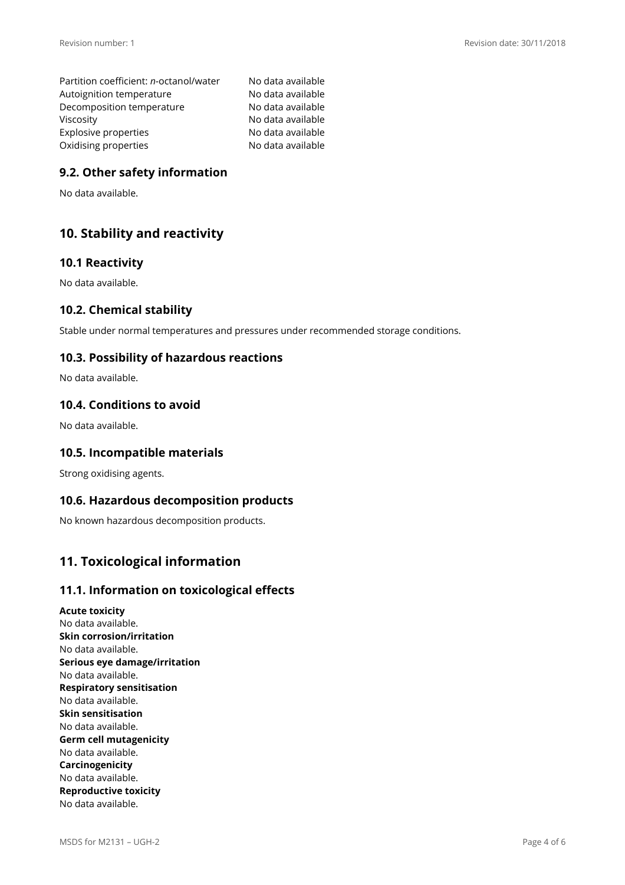Partition coefficient: *n-*octanol/water No data available Autoignition temperature No data available Decomposition temperature No data available Viscosity **No data available** Explosive properties No data available Oxidising properties No data available

## **9.2. Other safety information**

No data availableG

## **10. Stability and reactivity**

### **10.1 Reactivity**

No data available.

### **10.2. Chemical stability**

Stable under normal temperatures and pressures under recommended storage conditions.

## **10.3. Possibility of hazardous reactions**

No data available.

#### **10.4. Conditions to avoid**

No data available.

### **10.5. Incompatible materials**

Strong oxidising agents.

#### **10.6. Hazardous decomposition products**

No known hazardous decomposition products.

## **11. Toxicological information**

#### **11.1. Information on toxicological effects**

**Acute toxicity**  No data available. **Skin corrosion/irritation**  No data available. **Serious eye damage/irritation**  No data available. **Respiratory sensitisation**  No data available. **Skin sensitisation**  No data available. **Germ cell mutagenicity**  No data available. **Carcinogenicity**  No data available. **Reproductive toxicity**  No data available.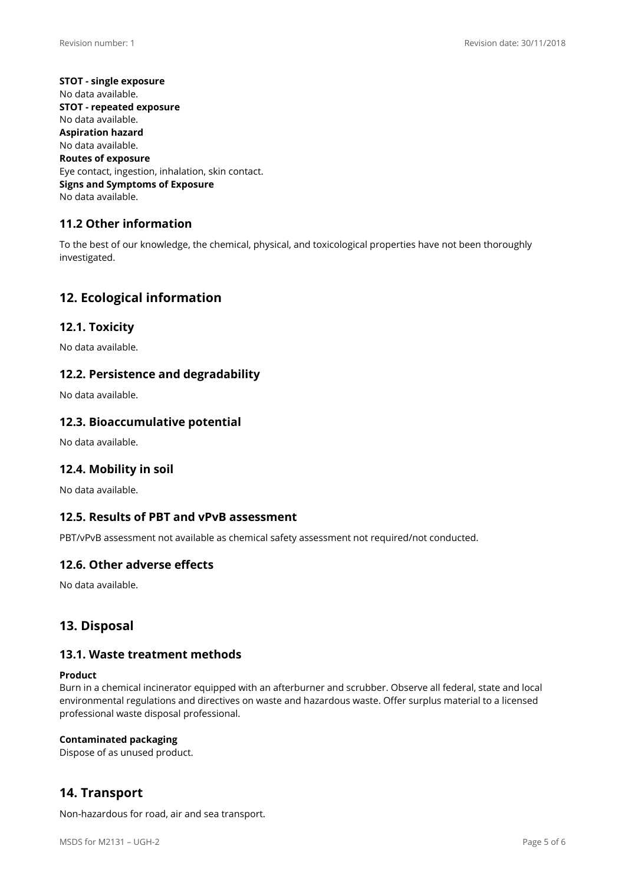**STOT - single exposure**  No data available. **STOT - repeated exposure**  No data available. **Aspiration hazard**  No data available. **Routes of exposure**  Eye contact, ingestion, inhalation, skin contact. **Signs and Symptoms of Exposure**  No data available.

## **11.2 Other information**

To the best of our knowledge, the chemical, physical, and toxicological properties have not been thoroughly investigated.

## **12. Ecological information**

### **12.1. Toxicity**

No data available.

### **12.2. Persistence and degradability**

No data available.

#### **12.3. Bioaccumulative potential**

No data available.

#### **12.4. Mobility in soil**

No data available.

#### **12.5. Results of PBT and vPvB assessment**

PBT/vPvB assessment not available as chemical safety assessment not required/not conducted.

#### **12.6. Other adverse effects**

No data availableG

## **13. Disposal**

#### **13.1. Waste treatment methods**

#### **Product**

Burn in a chemical incinerator equipped with an afterburner and scrubber. Observe all federal, state and local environmental regulations and directives on waste and hazardous waste. Offer surplus material to a licensed professional waste disposal professional.

#### **Contaminated packaging**

Dispose of as unused product.

## **14. Transport**

Non-hazardous for road, air and sea transport.